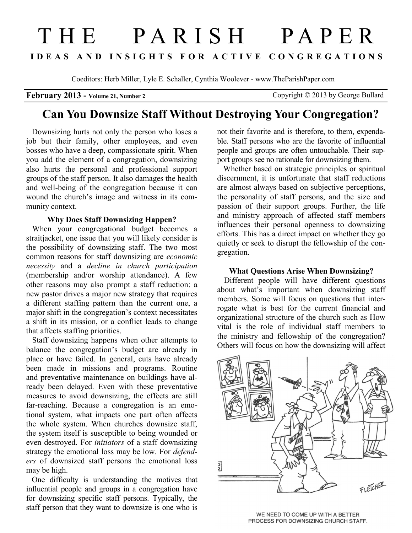# T H E P A R I S H P A P E R **I D E A S A N D I N S I G H T S F O R A C T I V E C O N G R E G A T I O N S**

Coeditors: Herb Miller, Lyle E. Schaller, Cynthia Woolever - www.TheParishPaper.com

**February 2013 - Volume 21, Number 2** Copyright © 2013 by George Bullard

# **Can You Downsize Staff Without Destroying Your Congregation?**

 Downsizing hurts not only the person who loses a job but their family, other employees, and even bosses who have a deep, compassionate spirit. When you add the element of a congregation, downsizing also hurts the personal and professional support groups of the staff person. It also damages the health and well-being of the congregation because it can wound the church's image and witness in its community context.

## **Why Does Staff Downsizing Happen?**

 When your congregational budget becomes a straitjacket, one issue that you will likely consider is the possibility of downsizing staff. The two most common reasons for staff downsizing are *economic necessity* and a *decline in church participation*  (membership and/or worship attendance). A few other reasons may also prompt a staff reduction: a new pastor drives a major new strategy that requires a different staffing pattern than the current one, a major shift in the congregation's context necessitates a shift in its mission, or a conflict leads to change that affects staffing priorities.

 Staff downsizing happens when other attempts to balance the congregation's budget are already in place or have failed. In general, cuts have already been made in missions and programs. Routine and preventative maintenance on buildings have already been delayed. Even with these preventative measures to avoid downsizing, the effects are still far-reaching. Because a congregation is an emotional system, what impacts one part often affects the whole system. When churches downsize staff, the system itself is susceptible to being wounded or even destroyed. For *initiators* of a staff downsizing strategy the emotional loss may be low. For *defenders* of downsized staff persons the emotional loss may be high.

 One difficulty is understanding the motives that influential people and groups in a congregation have for downsizing specific staff persons. Typically, the staff person that they want to downsize is one who is

not their favorite and is therefore, to them, expendable. Staff persons who are the favorite of influential people and groups are often untouchable. Their support groups see no rationale for downsizing them.

 Whether based on strategic principles or spiritual discernment, it is unfortunate that staff reductions are almost always based on subjective perceptions, the personality of staff persons, and the size and passion of their support groups. Further, the life and ministry approach of affected staff members influences their personal openness to downsizing efforts. This has a direct impact on whether they go quietly or seek to disrupt the fellowship of the congregation.

# **What Questions Arise When Downsizing?**

 Different people will have different questions about what's important when downsizing staff members. Some will focus on questions that interrogate what is best for the current financial and organizational structure of the church such as How vital is the role of individual staff members to the ministry and fellowship of the congregation? Others will focus on how the downsizing will affect



WE NEED TO COME UP WITH A BETTER PROCESS FOR DOWNSIZING CHURCH STAFF.